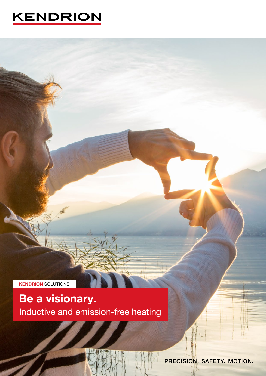# **KENDRION**

**KENDRION SOLUTIONS** 

# Be a visionary. Inductive and emission-free heating

PRECISION. SAFETY. MOTION.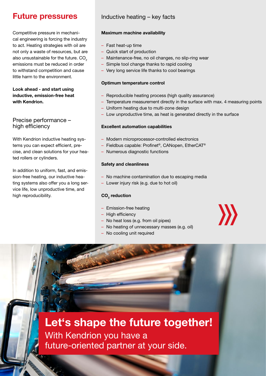## Future pressures

Competitive pressure in mechanical engineering is forcing the industry to act. Heating strategies with oil are not only a waste of resources, but are also unsustainable for the future.  $CO<sub>2</sub>$ emissions must be reduced in order to withstand competition and cause little harm to the environment.

Look ahead - and start using inductive, emission-free heat with Kendrion.

### Precise performance – high efficiency

With Kendrion inductive heating systems you can expect efficient, precise, and clean solutions for your heated rollers or cylinders.

In addition to uniform, fast, and emission-free heating, our inductive heating systems also offer you a long service life, low unproductive time, and high reproducibility.

3

## Inductive heating – key facts

### Maximum machine availability

- Fast heat-up time
- Quick start of production
- Maintenance-free, no oil changes, no slip-ring wear
- Simple tool change thanks to rapid cooling
- Very long service life thanks to cool bearings

### Optimum temperature control

- Reproducible heating process (high quality assurance)
- Temperature measurement directly in the surface with max. 4 measuring points

W

- Uniform heating due to multi-zone design
- Low unproductive time, as heat is generated directly in the surface

### Excellent automation capabilities

- Modern microprocessor-controlled electronics
- Fieldbus capable: Profinet®, CANopen, EtherCAT®
- Numerous diagnostic functions

### Safety and cleanliness

- No machine contamination due to escaping media
- Lower injury risk (e.g. due to hot oil)

### $\mathsf{CO}_2^{}$  reduction

- Emission-free heating
- High efficiency
- No heat loss (e.g. from oil pipes)
- No heating of unnecessary masses (e.g. oil)
- No cooling unit required

# Let's shape the future together!

With Kendrion you have a future-oriented partner at your side.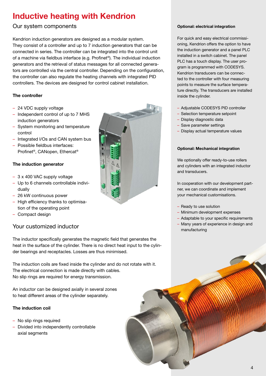## Inductive heating with Kendrion

## Our system components

Kendrion induction generators are designed as a modular system. They consist of a controller and up to 7 induction generators that can be connected in series. The controller can be integrated into the control unit of a machine via fieldbus interface (e.g. Profinet®). The individual induction generators and the retrieval of status messages for all connected generators are controlled via the central controller. Depending on the configuration, the controller can also regulate the heating channels with integrated PID controllers. The devices are designed for control cabinet installation.

### The controller

- 24 VDC supply voltage
- Independent control of up to 7 MHS induction generators
- System monitoring and temperature control
- Integrated I/Os and CAN system bus
- Possible fieldbus interfaces: Profinet®, CANopen, Ethercat®

### The induction generator

- 3 x 400 VAC supply voltage
- Up to 6 channels controllable individually
- 26 kW continuous power
- High efficiency thanks to optimisation of the operating point
- Compact design

### Your customized inductor

The inductor specifically generates the magnetic field that generates the heat in the surface of the cylinder. There is no direct heat input to the cylinder bearings and receptacles. Losses are thus minimised.

The induction coils are fixed inside the cylinder and do not rotate with it. The electrical connection is made directly with cables. No slip rings are required for energy transmission.

An inductor can be designed axially in several zones to heat different areas of the cylinder separately.

#### The induction coil

- No slip rings required
- Divided into independently controllable axial segments



#### Optional: electrical integration

For quick and easy electrical commissioning, Kendrion offers the option to have the induction generator and a panel PLC installed in a switch cabinet. The panel PLC has a touch display. The user program is programmed with CODESYS. Kendrion transducers can be connected to the controller with four measuring points to measure the surface temperature directly. The transducers are installed inside the cylinder.

- Adjustable CODESYS PID controller
- Selection temperature setpoint
- Display diagnostic data
- Save parameter settings
- Display actual temperature values

#### Optional: Mechanical integration

We optionally offer ready-to-use rollers and cylinders with an integrated inductor and transducers.

In cooperation with our development partner, we can coordinate and implement your mechanical customisations.

- Ready to use solution
- Minimum development expenses
- Adaptable to your specific requirements
- Many years of experience in design and manufacturing